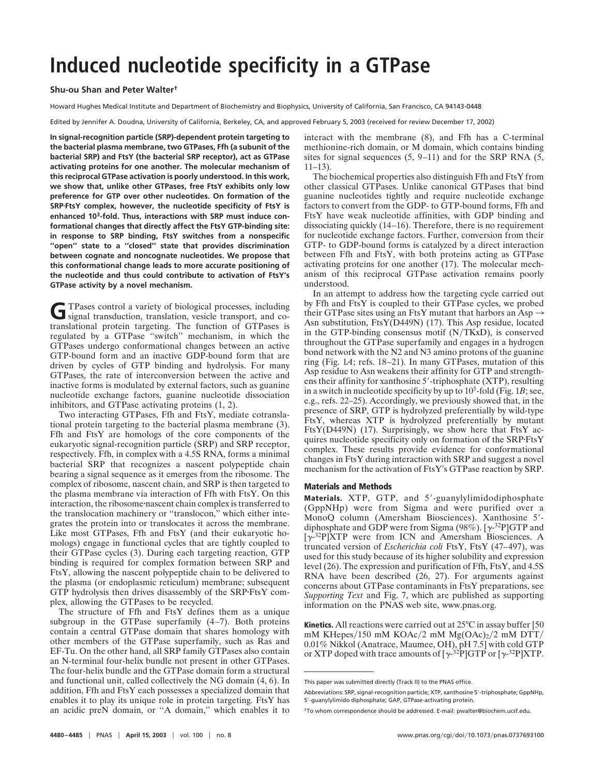# **Induced nucleotide specificity in a GTPase**

## **Shu-ou Shan and Peter Walter†**

Howard Hughes Medical Institute and Department of Biochemistry and Biophysics, University of California, San Francisco, CA 94143-0448

Edited by Jennifer A. Doudna, University of California, Berkeley, CA, and approved February 5, 2003 (received for review December 17, 2002)

**In signal-recognition particle (SRP)-dependent protein targeting to the bacterial plasma membrane, two GTPases, Ffh (a subunit of the bacterial SRP) and FtsY (the bacterial SRP receptor), act as GTPase activating proteins for one another. The molecular mechanism of this reciprocal GTPase activation is poorly understood. In this work, we show that, unlike other GTPases, free FtsY exhibits only low preference for GTP over other nucleotides. On formation of the SRPFtsY complex, however, the nucleotide specificity of FtsY is enhanced 103-fold. Thus, interactions with SRP must induce conformational changes that directly affect the FtsY GTP-binding site: in response to SRP binding, FtsY switches from a nonspecific ''open'' state to a ''closed'' state that provides discrimination between cognate and noncognate nucleotides. We propose that this conformational change leads to more accurate positioning of the nucleotide and thus could contribute to activation of FtsY's GTPase activity by a novel mechanism.**

G TPases control a variety of biological processes, including signal transduction, translation, vesicle transport, and cotranslational protein targeting. The function of GTPases is regulated by a GTPase "switch" mechanism, in which the GTPases undergo conformational changes between an active GTP-bound form and an inactive GDP-bound form that are driven by cycles of GTP binding and hydrolysis. For many GTPases, the rate of interconversion between the active and inactive forms is modulated by external factors, such as guanine nucleotide exchange factors, guanine nucleotide dissociation inhibitors, and GTPase activating proteins (1, 2).

Two interacting GTPases, Ffh and FtsY, mediate cotranslational protein targeting to the bacterial plasma membrane (3). Ffh and FtsY are homologs of the core components of the eukaryotic signal-recognition particle (SRP) and SRP receptor, respectively. Ffh, in complex with a 4.5S RNA, forms a minimal bacterial SRP that recognizes a nascent polypeptide chain bearing a signal sequence as it emerges from the ribosome. The complex of ribosome, nascent chain, and SRP is then targeted to the plasma membrane via interaction of Ffh with FtsY. On this interaction, the ribosome nascent chain complex is transferred to the translocation machinery or ''translocon,'' which either integrates the protein into or translocates it across the membrane. Like most GTPases, Ffh and FtsY (and their eukaryotic homologs) engage in functional cycles that are tightly coupled to their GTPase cycles (3). During each targeting reaction, GTP binding is required for complex formation between SRP and FtsY, allowing the nascent polypeptide chain to be delivered to the plasma (or endoplasmic reticulum) membrane; subsequent GTP hydrolysis then drives disassembly of the SRPFtsY complex, allowing the GTPases to be recycled.

The structure of Ffh and FtsY defines them as a unique subgroup in the GTPase superfamily (4–7). Both proteins contain a central GTPase domain that shares homology with other members of the GTPase superfamily, such as Ras and EF-Tu. On the other hand, all SRP family GTPases also contain an N-terminal four-helix bundle not present in other GTPases. The four-helix bundle and the GTPase domain form a structural and functional unit, called collectively the NG domain (4, 6). In addition, Ffh and FtsY each possesses a specialized domain that enables it to play its unique role in protein targeting. FtsY has an acidic preN domain, or ''A domain,'' which enables it to interact with the membrane (8), and Ffh has a C-terminal methionine-rich domain, or M domain, which contains binding sites for signal sequences (5, 9–11) and for the SRP RNA (5,  $11-13$ ).

The biochemical properties also distinguish Ffh and FtsY from other classical GTPases. Unlike canonical GTPases that bind guanine nucleotides tightly and require nucleotide exchange factors to convert from the GDP- to GTP-bound forms, Ffh and FtsY have weak nucleotide affinities, with GDP binding and dissociating quickly (14–16). Therefore, there is no requirement for nucleotide exchange factors. Further, conversion from their GTP- to GDP-bound forms is catalyzed by a direct interaction between Ffh and FtsY, with both proteins acting as GTPase activating proteins for one another (17). The molecular mechanism of this reciprocal GTPase activation remains poorly understood.

In an attempt to address how the targeting cycle carried out by Ffh and FtsY is coupled to their GTPase cycles, we probed their GTPase sites using an FtsY mutant that harbors an Asp  $\rightarrow$ Asn substitution, FtsY(D449N) (17). This Asp residue, located in the GTP-binding consensus motif  $(N/TKxD)$ , is conserved throughout the GTPase superfamily and engages in a hydrogen bond network with the N2 and N3 amino protons of the guanine ring (Fig. 1*A*; refs. 18–21). In many GTPases, mutation of this Asp residue to Asn weakens their affinity for GTP and strengthens their affinity for xanthosine 5'-triphosphate (XTP), resulting in a switch in nucleotide specificity by up to  $10<sup>5</sup>$ -fold (Fig. 1*B*; see, e.g., refs. 22–25). Accordingly, we previously showed that, in the presence of SRP, GTP is hydrolyzed preferentially by wild-type FtsY, whereas XTP is hydrolyzed preferentially by mutant FtsY(D449N) (17). Surprisingly, we show here that FtsY acquires nucleotide specificity only on formation of the SRP·FtsY complex. These results provide evidence for conformational changes in FtsY during interaction with SRP and suggest a novel mechanism for the activation of FtsY's GTPase reaction by SRP.

## **Materials and Methods**

Materials. XTP, GTP, and 5'-guanylylimidodiphosphate (GppNHp) were from Sigma and were purified over a MonoQ column (Amersham Biosciences). Xanthosine 5'diphosphate and GDP were from Sigma (98%). [ $\gamma$ -<sup>32</sup>P]GTP and  $[\gamma$ <sup>-32</sup>P]XTP were from ICN and Amersham Biosciences. A truncated version of *Escherichia coli* FtsY, FtsY (47–497), was used for this study because of its higher solubility and expression level (26). The expression and purification of Ffh, FtsY, and 4.5S RNA have been described (26, 27). For arguments against concerns about GTPase contaminants in FtsY preparations, see *Supporting Text* and Fig. 7, which are published as supporting information on the PNAS web site, www.pnas.org.

**Kinetics.** All reactions were carried out at 25°C in assay buffer [50] mM KHepes/150 mM KOAc/2 mM Mg(OAc)<sub>2</sub>/2 mM DTT/ 0.01% Nikkol (Anatrace, Maumee, OH), pH 7.5] with cold GTP or XTP doped with trace amounts of  $[\gamma^{-32}P]GTP$  or  $[\gamma^{-32}P]XTP$ .

This paper was submitted directly (Track II) to the PNAS office.

Abbreviations: SRP, signal-recognition particle; XTP, xanthosine 5'-triphosphate; GppNHp, 5-guanylylimido diphosphate; GAP, GTPase-activating protein.

<sup>†</sup>To whom correspondence should be addressed. E-mail: pwalter@biochem.ucsf.edu.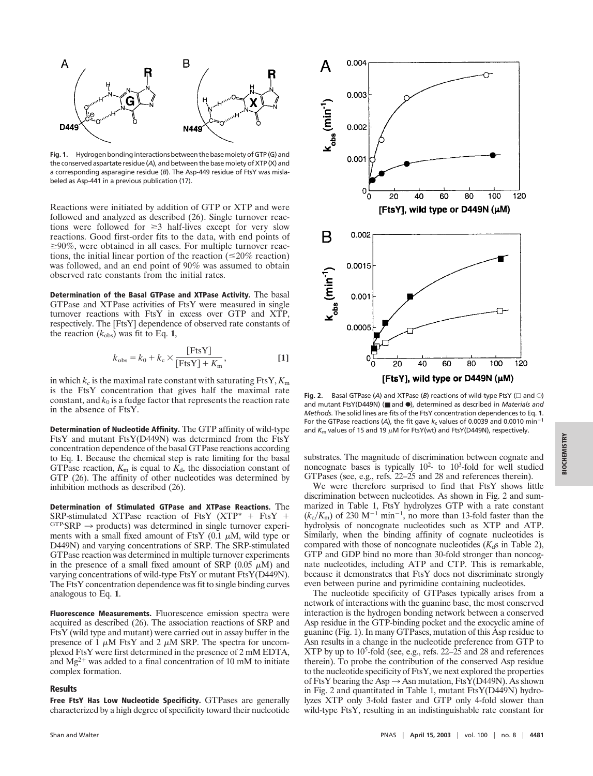

**Fig. 1.** Hydrogen bonding interactions between the base moiety of GTP (G) and the conserved aspartate residue (*A*), and between the base moiety of XTP (X) and a corresponding asparagine residue (*B*). The Asp-449 residue of FtsY was mislabeled as Asp-441 in a previous publication (17).

Reactions were initiated by addition of GTP or XTP and were followed and analyzed as described (26). Single turnover reactions were followed for  $\geq$ 3 half-lives except for very slow reactions. Good first-order fits to the data, with end points of  $\geq$ 90%, were obtained in all cases. For multiple turnover reactions, the initial linear portion of the reaction ( $\leq$ 20% reaction) was followed, and an end point of 90% was assumed to obtain observed rate constants from the initial rates.

**Determination of the Basal GTPase and XTPase Activity.** The basal GTPase and XTPase activities of FtsY were measured in single turnover reactions with FtsY in excess over GTP and XTP, respectively. The [FtsY] dependence of observed rate constants of the reaction  $(k_{obs})$  was fit to Eq. 1,

$$
k_{\text{obs}} = k_0 + k_{\text{c}} \times \frac{\text{[FtsY]}}{\text{[FtsY]} + K_{\text{m}}},\tag{1}
$$

in which  $k_c$  is the maximal rate constant with saturating FtsY,  $K_m$ is the FtsY concentration that gives half the maximal rate constant, and  $k_0$  is a fudge factor that represents the reaction rate in the absence of FtsY.

**Determination of Nucleotide Affinity.** The GTP affinity of wild-type FtsY and mutant FtsY(D449N) was determined from the FtsY concentration dependence of the basal GTPase reactions according to Eq. **1**. Because the chemical step is rate limiting for the basal GTPase reaction,  $K_m$  is equal to  $K_d$ , the dissociation constant of GTP (26). The affinity of other nucleotides was determined by inhibition methods as described (26).

**Determination of Stimulated GTPase and XTPase Reactions.** The SRP-stimulated XTPase reaction of FtsY (XTP\*  $+$  FtsY  $+$  $GTP$  SRP  $\rightarrow$  products) was determined in single turnover experiments with a small fixed amount of FtsY  $(0.1 \mu M,$  wild type or D449N) and varying concentrations of SRP. The SRP-stimulated GTPase reaction was determined in multiple turnover experiments in the presence of a small fixed amount of SRP  $(0.05 \mu M)$  and varying concentrations of wild-type FtsY or mutant FtsY(D449N). The FtsY concentration dependence was fit to single binding curves analogous to Eq. **1**.

**Fluorescence Measurements.** Fluorescence emission spectra were acquired as described (26). The association reactions of SRP and FtsY (wild type and mutant) were carried out in assay buffer in the presence of 1  $\mu$ M FtsY and 2  $\mu$ M SRP. The spectra for uncomplexed FtsY were first determined in the presence of 2 mM EDTA, and  $Mg^{2+}$  was added to a final concentration of 10 mM to initiate complex formation.

### **Results**

**Free FtsY Has Low Nucleotide Specificity.** GTPases are generally characterized by a high degree of specificity toward their nucleotide



**Fig. 2.** Basal GTPase (A) and XTPase (B) reactions of wild-type FtsY ( $\Box$  and  $\bigcirc$ ) and mutant FtsY(D449N) (■ and F), determined as described in *Materials and Methods*. The solid lines are fits of the FtsY concentration dependences to Eq. **1**. For the GTPase reactions (A), the fit gave  $k_c$  values of 0.0039 and 0.0010 min<sup>-1</sup> and  $K_m$  values of 15 and 19  $\mu$ M for FtsY(wt) and FtsY(D449N), respectively.

substrates. The magnitude of discrimination between cognate and noncognate bases is typically  $10^2$ - to  $10^3$ -fold for well studied GTPases (see, e.g., refs. 22–25 and 28 and references therein).

We were therefore surprised to find that FtsY shows little discrimination between nucleotides. As shown in Fig. 2 and summarized in Table 1, FtsY hydrolyzes GTP with a rate constant  $(k_c/K_m)$  of 230 M<sup>-1</sup> min<sup>-1</sup>, no more than 13-fold faster than the hydrolysis of noncognate nucleotides such as XTP and ATP. Similarly, when the binding affinity of cognate nucleotides is compared with those of noncognate nucleotides  $(K<sub>d</sub>$ s in Table 2), GTP and GDP bind no more than 30-fold stronger than noncognate nucleotides, including ATP and CTP. This is remarkable, because it demonstrates that FtsY does not discriminate strongly even between purine and pyrimidine containing nucleotides.

The nucleotide specificity of GTPases typically arises from a network of interactions with the guanine base, the most conserved interaction is the hydrogen bonding network between a conserved Asp residue in the GTP-binding pocket and the exocyclic amine of guanine (Fig. 1). In many GTPases, mutation of this Asp residue to Asn results in a change in the nucleotide preference from GTP to XTP by up to 105 -fold (see, e.g., refs. 22–25 and 28 and references therein). To probe the contribution of the conserved Asp residue to the nucleotide specificity of FtsY, we next explored the properties of FtsY bearing the Asp  $\rightarrow$  Asn mutation, FtsY(D449N). As shown in Fig. 2 and quantitated in Table 1, mutant FtsY(D449N) hydrolyzes XTP only 3-fold faster and GTP only 4-fold slower than wild-type FtsY, resulting in an indistinguishable rate constant for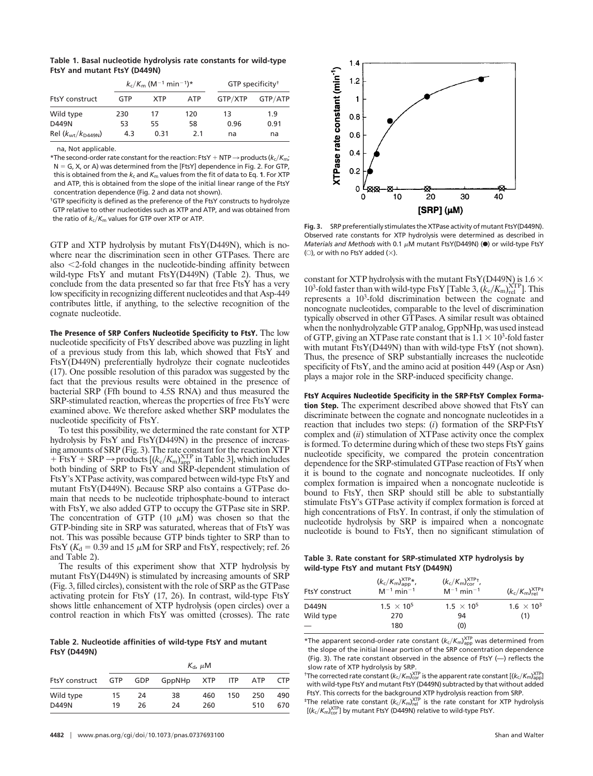**Table 1. Basal nucleotide hydrolysis rate constants for wild-type FtsY and mutant FtsY (D449N)**

| <b>FtsY</b> construct |     | $k_c/K_m$ (M <sup>-1</sup> min <sup>-1</sup> )* | GTP specificity <sup>†</sup> |         |         |
|-----------------------|-----|-------------------------------------------------|------------------------------|---------|---------|
|                       | GTP | <b>XTP</b>                                      | <b>ATP</b>                   | GTP/XTP | GTP/ATP |
| Wild type             | 230 | 17                                              | 120                          | 13      | 1.9     |
| D449N                 | 53  | 55                                              | 58                           | 0.96    | 0.91    |
| Rel $(kwt/kD449N)$    | 4.3 | 0.31                                            | 2.1                          | na      | na      |

na, Not applicable.

\*The second-order rate constant for the reaction: FtsY + NTP  $\rightarrow$  products ( $k_c/K_m$ ;  $N = G$ , X, or A) was determined from the [FtsY] dependence in Fig. 2. For GTP, this is obtained from the  $k_c$  and  $K_m$  values from the fit of data to Eq. 1. For XTP and ATP, this is obtained from the slope of the initial linear range of the FtsY concentration dependence (Fig. 2 and data not shown).

†GTP specificity is defined as the preference of the FtsY constructs to hydrolyze GTP relative to other nucleotides such as XTP and ATP, and was obtained from the ratio of  $k_c/K_m$  values for GTP over XTP or ATP.

GTP and XTP hydrolysis by mutant FtsY(D449N), which is nowhere near the discrimination seen in other GTPases. There are also  $\leq$ 2-fold changes in the nucleotide-binding affinity between wild-type FtsY and mutant FtsY(D449N) (Table 2). Thus, we conclude from the data presented so far that free FtsY has a very low specificity in recognizing different nucleotides and that Asp-449 contributes little, if anything, to the selective recognition of the cognate nucleotide.

**The Presence of SRP Confers Nucleotide Specificity to FtsY.** The low nucleotide specificity of FtsY described above was puzzling in light of a previous study from this lab, which showed that FtsY and FtsY(D449N) preferentially hydrolyze their cognate nucleotides (17). One possible resolution of this paradox was suggested by the fact that the previous results were obtained in the presence of bacterial SRP (Ffh bound to 4.5S RNA) and thus measured the SRP-stimulated reaction, whereas the properties of free FtsY were examined above. We therefore asked whether SRP modulates the nucleotide specificity of FtsY.

To test this possibility, we determined the rate constant for XTP hydrolysis by FtsY and FtsY(D449N) in the presence of increasing amounts of SRP (Fig. 3). The rate constant for the reaction XTP  $+$  FtsY  $+$  SRP  $\rightarrow$  products  $[(k_c/K_m)_{app}^{XTP}$  in Table 3], which includes both binding of SRP to FtsY and SRP-dependent stimulation of FtsY's XTPase activity, was compared between wild-type FtsY and mutant FtsY(D449N). Because SRP also contains a GTPase domain that needs to be nucleotide triphosphate-bound to interact with FtsY, we also added GTP to occupy the GTPase site in SRP. The concentration of GTP  $(10 \mu M)$  was chosen so that the GTP-binding site in SRP was saturated, whereas that of FtsY was not. This was possible because GTP binds tighter to SRP than to FtsY ( $K_d$  = 0.39 and 15  $\mu$ M for SRP and FtsY, respectively; ref. 26 and Table 2).

The results of this experiment show that XTP hydrolysis by mutant FtsY(D449N) is stimulated by increasing amounts of SRP (Fig. 3, filled circles), consistent with the role of SRP as the GTPase activating protein for FtsY (17, 26). In contrast, wild-type FtsY shows little enhancement of XTP hydrolysis (open circles) over a control reaction in which FtsY was omitted (crosses). The rate

**Table 2. Nucleotide affinities of wild-type FtsY and mutant FtsY (D449N)**

|                        | $K_{\rm d}$ , $\mu$ M |          |            |            |         |            |            |
|------------------------|-----------------------|----------|------------|------------|---------|------------|------------|
| FtsY construct GTP GDP |                       |          | GppNHp XTP |            | ITP ATP |            | <b>CTP</b> |
| Wild type<br>D449N     | 15<br>19              | 24<br>26 | 38<br>24   | 460<br>260 | 150     | 250<br>510 | 490<br>670 |



**Fig. 3.** SRP preferentially stimulates the XTPase activity of mutant FtsY(D449N). Observed rate constants for XTP hydrolysis were determined as described in *Materials and Methods* with 0.1  $\mu$ M mutant FtsY(D449N) (<sup>•</sup>) or wild-type FtsY (O), or with no FtsY added ( $\times$ ).

constant for XTP hydrolysis with the mutant FtsY(D449N) is  $1.6 \times$ 10<sup>3</sup>-fold faster than with wild-type FtsY [Table 3,  $(k_c/K_m)_{rel}^{XTP}$ ]. This represents a 103 -fold discrimination between the cognate and noncognate nucleotides, comparable to the level of discrimination typically observed in other GTPases. A similar result was obtained when the nonhydrolyzable GTP analog, GppNHp, was used instead of GTP, giving an XTPase rate constant that is  $1.1 \times 10^3$ -fold faster with mutant FtsY(D449N) than with wild-type FtsY (not shown). Thus, the presence of SRP substantially increases the nucleotide specificity of FtsY, and the amino acid at position 449 (Asp or Asn) plays a major role in the SRP-induced specificity change.

**FtsY Acquires Nucleotide Specificity in the SRPFtsY Complex Formation Step.** The experiment described above showed that FtsY can discriminate between the cognate and noncognate nucleotides in a reaction that includes two steps: (*i*) formation of the SRP·FtsY complex and (*ii*) stimulation of XTPase activity once the complex is formed. To determine during which of these two steps FtsY gains nucleotide specificity, we compared the protein concentration dependence for the SRP-stimulated GTPase reaction of FtsY when it is bound to the cognate and noncognate nucleotides. If only complex formation is impaired when a noncognate nucleotide is bound to FtsY, then SRP should still be able to substantially stimulate FtsY's GTPase activity if complex formation is forced at high concentrations of FtsY. In contrast, if only the stimulation of nucleotide hydrolysis by SRP is impaired when a noncognate nucleotide is bound to FtsY, then no significant stimulation of

**Table 3. Rate constant for SRP-stimulated XTP hydrolysis by wild-type FtsY and mutant FtsY (D449N)**

| <b>FtsY</b> construct | $(k_c/K_m)_{app}^{\text{ATP}*}$ ,<br>$M^{-1}$ min <sup>-1</sup> | $(k_c/K_m)_{\rm cor}^{\rm XTP+}$<br>$M^{-1}$ min <sup>-1</sup> | $(k_c/K_m)_{rel}^{XTP_{\pm}}$ |  |
|-----------------------|-----------------------------------------------------------------|----------------------------------------------------------------|-------------------------------|--|
| D449N                 | $1.5 \times 10^{5}$                                             | $1.5 \times 10^{5}$                                            | $1.6 \times 10^{3}$           |  |
| Wild type             | 270                                                             | 94                                                             | (1)                           |  |
|                       | 180                                                             | (0)                                                            |                               |  |

\*The apparent second-order rate constant  $(k_c/K_m)_{app}^{XTP}$  was determined from the slope of the initial linear portion of the SRP concentration dependence (Fig. 3). The rate constant observed in the absence of FtsY (—) reflects the slow rate of XTP hydrolysis by SRP.

<sup>†</sup>The corrected rate constant ( $k_c/K_m$ ) $_{cor}^{XTP}$  is the apparent rate constant [( $k_c/K_m$ ) $_{app}^{XTP}$ ] with wild-type FtsY and mutant FtsY (D449N) subtracted by that without added FtsY. This corrects for the background XTP hydrolysis reaction from SRP.

 $^{\ddagger}$ The relative rate constant ( $k_c/K_m$ ) $_{\rm rel}^{\rm XTP}$  is the rate constant for XTP hydrolysis  $[(k_c/K_m)_{cor}^{XTP}]$  by mutant FtsY (D449N) relative to wild-type FtsY.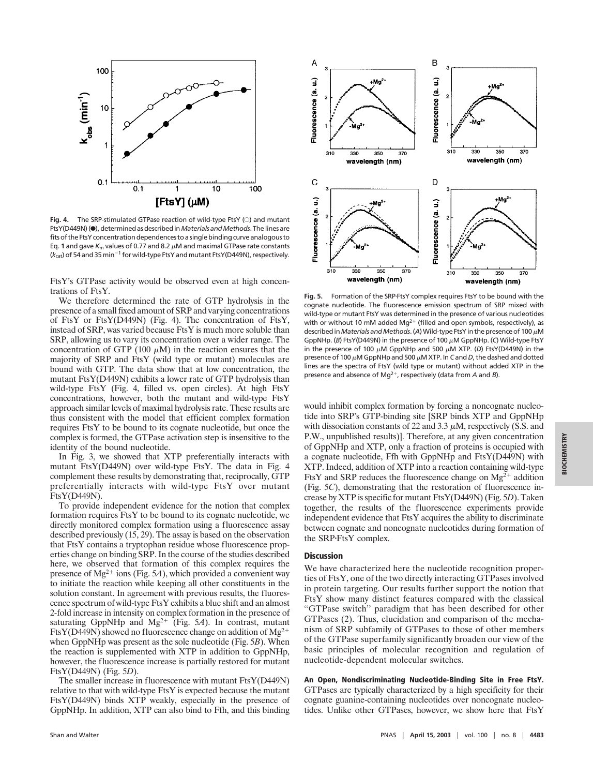

Fig. 4. The SRP-stimulated GTPase reaction of wild-type FtsY (C) and mutant FtsY(D449N)(<sup>e</sup>), determined as described in *Materials and Methods*. The lines are fits of the FtsY concentration dependences to a single binding curve analogous to Eq. 1 and gave  $K_m$  values of 0.77 and 8.2  $\mu$ M and maximal GTPase rate constants  $(k<sub>cat</sub>)$  of 54 and 35 min<sup>-1</sup> for wild-type FtsY and mutant FtsY(D449N), respectively.

FtsY's GTPase activity would be observed even at high concentrations of FtsY.

We therefore determined the rate of GTP hydrolysis in the presence of a small fixed amount of SRP and varying concentrations of FtsY or FtsY(D449N) (Fig. 4). The concentration of FtsY, instead of SRP, was varied because FtsY is much more soluble than SRP, allowing us to vary its concentration over a wider range. The concentration of GTP (100  $\mu$ M) in the reaction ensures that the majority of SRP and FtsY (wild type or mutant) molecules are bound with GTP. The data show that at low concentration, the mutant FtsY(D449N) exhibits a lower rate of GTP hydrolysis than wild-type FtsY (Fig. 4, filled vs. open circles). At high FtsY concentrations, however, both the mutant and wild-type FtsY approach similar levels of maximal hydrolysis rate. These results are thus consistent with the model that efficient complex formation requires FtsY to be bound to its cognate nucleotide, but once the complex is formed, the GTPase activation step is insensitive to the identity of the bound nucleotide.

In Fig. 3, we showed that XTP preferentially interacts with mutant FtsY(D449N) over wild-type FtsY. The data in Fig. 4 complement these results by demonstrating that, reciprocally, GTP preferentially interacts with wild-type FtsY over mutant FtsY(D449N).

To provide independent evidence for the notion that complex formation requires FtsY to be bound to its cognate nucleotide, we directly monitored complex formation using a fluorescence assay described previously (15, 29). The assay is based on the observation that FtsY contains a tryptophan residue whose fluorescence properties change on binding SRP. In the course of the studies described here, we observed that formation of this complex requires the presence of Mg<sup>2+</sup> ions (Fig. 5A), which provided a convenient way to initiate the reaction while keeping all other constituents in the solution constant. In agreement with previous results, the fluorescence spectrum of wild-type FtsY exhibits a blue shift and an almost 2-fold increase in intensity on complex formation in the presence of saturating GppNHp and Mg<sup>2+</sup> (Fig. 5A). In contrast, mutant FtsY(D449N) showed no fluorescence change on addition of  $Mg^{2+}$ when GppNHp was present as the sole nucleotide (Fig. 5*B*). When the reaction is supplemented with XTP in addition to GppNHp, however, the fluorescence increase is partially restored for mutant FtsY(D449N) (Fig. 5*D*).

The smaller increase in fluorescence with mutant FtsY(D449N) relative to that with wild-type FtsY is expected because the mutant FtsY(D449N) binds XTP weakly, especially in the presence of GppNHp. In addition, XTP can also bind to Ffh, and this binding



Fig. 5. Formation of the SRP-FtsY complex requires FtsY to be bound with the cognate nucleotide. The fluorescence emission spectrum of SRP mixed with wild-type or mutant FtsY was determined in the presence of various nucleotides with or without 10 mM added Mg<sup>2+</sup> (filled and open symbols, respectively), as described in *Materials and Methods*. (A) Wild-type FtsY in the presence of 100  $\mu$ M GppNHp. (B) FtsY(D449N) in the presence of 100  $\mu$ M GppNHp. (C) Wild-type FtsY in the presence of 100  $\mu$ M GppNHp and 500  $\mu$ M XTP. (*D*) FtsY(D449N) in the presence of 100  $\mu$ M GppNHp and 500  $\mu$ M XTP. In *C* and *D*, the dashed and dotted lines are the spectra of FtsY (wild type or mutant) without added XTP in the presence and absence of Mg<sup>2+</sup>, respectively (data from *A* and *B*).

would inhibit complex formation by forcing a noncognate nucleotide into SRP's GTP-binding site [SRP binds XTP and GppNHp with dissociation constants of 22 and 3.3  $\mu$ M, respectively (S.S. and P.W., unpublished results)]. Therefore, at any given concentration of GppNHp and XTP, only a fraction of proteins is occupied with a cognate nucleotide, Ffh with GppNHp and FtsY(D449N) with XTP. Indeed, addition of XTP into a reaction containing wild-type FtsY and SRP reduces the fluorescence change on  $Mg^{2+}$  addition (Fig. 5*C*), demonstrating that the restoration of fluorescence increase by XTP is specific for mutant FtsY(D449N) (Fig. 5*D*). Taken together, the results of the fluorescence experiments provide independent evidence that FtsY acquires the ability to discriminate between cognate and noncognate nucleotides during formation of the SRPFtsY complex.

### **Discussion**

We have characterized here the nucleotide recognition properties of FtsY, one of the two directly interacting GTPases involved in protein targeting. Our results further support the notion that FtsY show many distinct features compared with the classical ''GTPase switch'' paradigm that has been described for other GTPases (2). Thus, elucidation and comparison of the mechanism of SRP subfamily of GTPases to those of other members of the GTPase superfamily significantly broaden our view of the basic principles of molecular recognition and regulation of nucleotide-dependent molecular switches.

**An Open, Nondiscriminating Nucleotide-Binding Site in Free FtsY.** GTPases are typically characterized by a high specificity for their cognate guanine-containing nucleotides over noncognate nucleotides. Unlike other GTPases, however, we show here that FtsY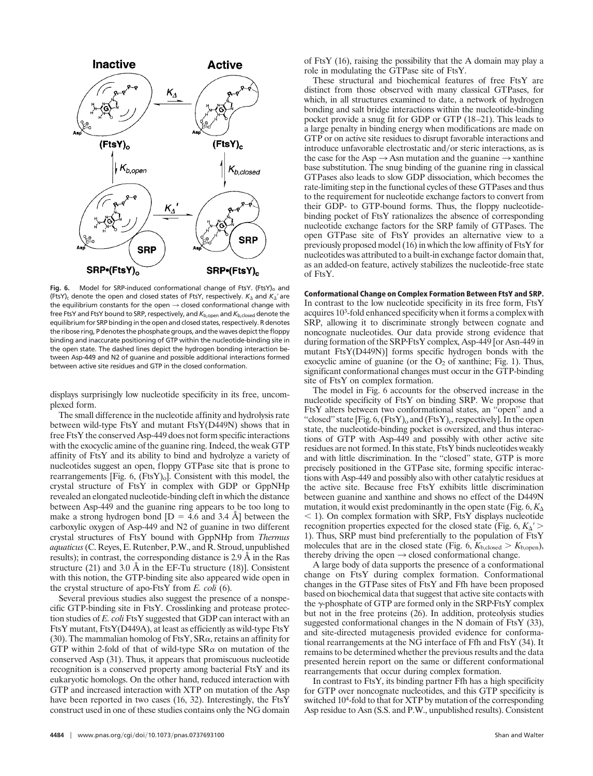

Fig. 6. Model for SRP-induced conformational change of FtsY. (FtsY)<sub>o</sub> and (FtsY)<sub>c</sub> denote the open and closed states of FtsY, respectively.  $K_{\Delta}$  and  $K_{\Delta}$ ' are the equilibrium constants for the open  $\rightarrow$  closed conformational change with free FtsY and FtsY bound to SRP, respectively, and  $K_{b, \text{open}}$  and  $K_{b, \text{closed}}$  denote the equilibrium for SRP binding in the open and closed states, respectively. R denotes the ribose ring, P denotes the phosphate groups, and the waves depict the floppy binding and inaccurate positioning of GTP within the nucleotide-binding site in the open state. The dashed lines depict the hydrogen bonding interaction between Asp-449 and N2 of guanine and possible additional interactions formed between active site residues and GTP in the closed conformation.

displays surprisingly low nucleotide specificity in its free, uncomplexed form.

The small difference in the nucleotide affinity and hydrolysis rate between wild-type FtsY and mutant FtsY(D449N) shows that in free FtsY the conserved Asp-449 does not form specific interactions with the exocyclic amine of the guanine ring. Indeed, the weak GTP affinity of FtsY and its ability to bind and hydrolyze a variety of nucleotides suggest an open, floppy GTPase site that is prone to rearrangements  $[Fig. 6, (FtsY)<sub>o</sub>].$  Consistent with this model, the crystal structure of FtsY in complex with GDP or GppNHp revealed an elongated nucleotide-binding cleft in which the distance between Asp-449 and the guanine ring appears to be too long to make a strong hydrogen bond  $[D = 4.6$  and 3.4 Å between the carboxylic oxygen of Asp-449 and N2 of guanine in two different crystal structures of FtsY bound with GppNHp from *Thermus aquaticus*(C. Reyes, E. Rutenber, P.W., and R. Stroud, unpublished results); in contrast, the corresponding distance is 2.9 Å in the Ras structure (21) and 3.0  $\AA$  in the EF-Tu structure (18)]. Consistent with this notion, the GTP-binding site also appeared wide open in the crystal structure of apo-FtsY from *E. coli* (6).

Several previous studies also suggest the presence of a nonspecific GTP-binding site in FtsY. Crosslinking and protease protection studies of *E. coli* FtsY suggested that GDP can interact with an FtsY mutant, FtsY(D449A), at least as efficiently as wild-type FtsY (30). The mammalian homolog of FtsY,  $SR\alpha$ , retains an affinity for GTP within 2-fold of that of wild-type  $SR\alpha$  on mutation of the conserved Asp (31). Thus, it appears that promiscuous nucleotide recognition is a conserved property among bacterial FtsY and its eukaryotic homologs. On the other hand, reduced interaction with GTP and increased interaction with XTP on mutation of the Asp have been reported in two cases (16, 32). Interestingly, the FtsY construct used in one of these studies contains only the NG domain of FtsY (16), raising the possibility that the A domain may play a role in modulating the GTPase site of FtsY.

These structural and biochemical features of free FtsY are distinct from those observed with many classical GTPases, for which, in all structures examined to date, a network of hydrogen bonding and salt bridge interactions within the nucleotide-binding pocket provide a snug fit for GDP or GTP (18–21). This leads to a large penalty in binding energy when modifications are made on GTP or on active site residues to disrupt favorable interactions and introduce unfavorable electrostatic and/or steric interactions, as is the case for the Asp  $\rightarrow$  Asn mutation and the guanine  $\rightarrow$  xanthine base substitution. The snug binding of the guanine ring in classical GTPases also leads to slow GDP dissociation, which becomes the rate-limiting step in the functional cycles of these GTPases and thus to the requirement for nucleotide exchange factors to convert from their GDP- to GTP-bound forms. Thus, the floppy nucleotidebinding pocket of FtsY rationalizes the absence of corresponding nucleotide exchange factors for the SRP family of GTPases. The open GTPase site of FtsY provides an alternative view to a previously proposed model (16) in which the low affinity of FtsY for nucleotides was attributed to a built-in exchange factor domain that, as an added-on feature, actively stabilizes the nucleotide-free state of FtsY.

**Conformational Change on Complex Formation Between FtsY and SRP.** In contrast to the low nucleotide specificity in its free form, FtsY acquires 103 -fold enhanced specificity when it forms a complex with SRP, allowing it to discriminate strongly between cognate and noncognate nucleotides. Our data provide strong evidence that during formation of the SRPFtsY complex, Asp-449 [or Asn-449 in mutant FtsY(D449N)] forms specific hydrogen bonds with the exocyclic amine of guanine (or the  $O_2$  of xanthine; Fig. 1). Thus, significant conformational changes must occur in the GTP-binding site of FtsY on complex formation.

The model in Fig. 6 accounts for the observed increase in the nucleotide specificity of FtsY on binding SRP. We propose that FtsY alters between two conformational states, an ''open'' and a "closed" state  $[Fig. 6, (FtsY)<sub>o</sub>$  and  $(FtsY)<sub>c</sub>$ , respectively]. In the open state, the nucleotide-binding pocket is oversized, and thus interactions of GTP with Asp-449 and possibly with other active site residues are not formed. In this state, FtsY binds nucleotides weakly and with little discrimination. In the ''closed'' state, GTP is more precisely positioned in the GTPase site, forming specific interactions with Asp-449 and possibly also with other catalytic residues at the active site. Because free FtsY exhibits little discrimination between guanine and xanthine and shows no effect of the D449N mutation, it would exist predominantly in the open state (Fig.  $6, K_{\Delta}$ )  $1$ . On complex formation with SRP, FtsY displays nucleotide recognition properties expected for the closed state (Fig.  $6, K_{\Delta}$ ' > 1). Thus, SRP must bind preferentially to the population of FtsY molecules that are in the closed state (Fig.  $6, K_{b, closed} > K_{b, open}$ ), thereby driving the open  $\rightarrow$  closed conformational change.

A large body of data supports the presence of a conformational change on FtsY during complex formation. Conformational changes in the GTPase sites of FtsY and Ffh have been proposed based on biochemical data that suggest that active site contacts with the  $\gamma$ -phosphate of GTP are formed only in the SRP FtsY complex but not in the free proteins (26). In addition, proteolysis studies suggested conformational changes in the N domain of FtsY (33), and site-directed mutagenesis provided evidence for conformational rearrangements at the NG interface of Ffh and FtsY (34). It remains to be determined whether the previous results and the data presented herein report on the same or different conformational rearrangements that occur during complex formation.

In contrast to FtsY, its binding partner Ffh has a high specificity for GTP over noncognate nucleotides, and this GTP specificity is switched 10<sup>4</sup>-fold to that for XTP by mutation of the corresponding Asp residue to Asn (S.S. and P.W., unpublished results). Consistent